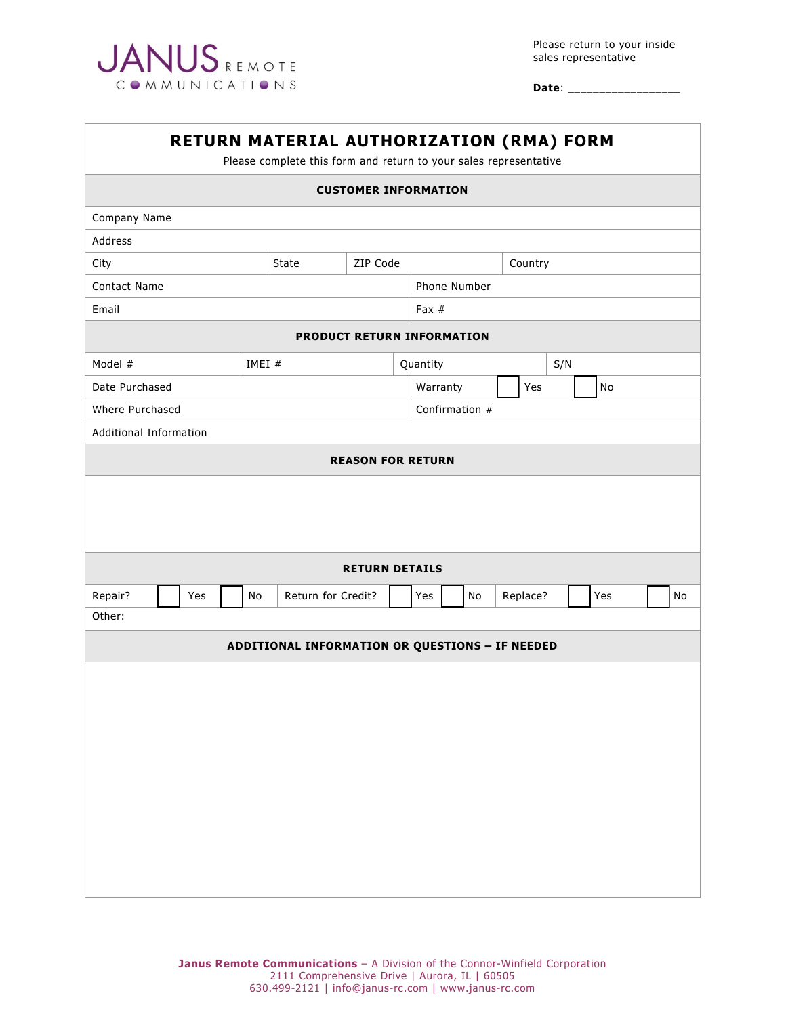

**Date**: \_\_\_\_\_\_\_\_\_\_\_\_\_\_\_\_\_\_

| RETURN MATERIAL AUTHORIZATION (RMA) FORM<br>Please complete this form and return to your sales representative |                                                 |     |  |                          |                    |                          |  |                |         |          |    |  |     |  |    |
|---------------------------------------------------------------------------------------------------------------|-------------------------------------------------|-----|--|--------------------------|--------------------|--------------------------|--|----------------|---------|----------|----|--|-----|--|----|
| <b>CUSTOMER INFORMATION</b>                                                                                   |                                                 |     |  |                          |                    |                          |  |                |         |          |    |  |     |  |    |
| Company Name                                                                                                  |                                                 |     |  |                          |                    |                          |  |                |         |          |    |  |     |  |    |
| Address                                                                                                       |                                                 |     |  |                          |                    |                          |  |                |         |          |    |  |     |  |    |
| City                                                                                                          |                                                 |     |  | ZIP Code<br><b>State</b> |                    |                          |  |                | Country |          |    |  |     |  |    |
| Contact Name                                                                                                  |                                                 |     |  |                          |                    | Phone Number             |  |                |         |          |    |  |     |  |    |
| Email                                                                                                         |                                                 |     |  |                          | Fax $#$            |                          |  |                |         |          |    |  |     |  |    |
| PRODUCT RETURN INFORMATION                                                                                    |                                                 |     |  |                          |                    |                          |  |                |         |          |    |  |     |  |    |
| Model #                                                                                                       |                                                 |     |  |                          | IMEI #             |                          |  | Quantity       | S/N     |          |    |  |     |  |    |
| Date Purchased                                                                                                |                                                 |     |  |                          |                    |                          |  | Warranty       |         | Yes      | No |  |     |  |    |
| Where Purchased                                                                                               |                                                 |     |  |                          |                    |                          |  | Confirmation # |         |          |    |  |     |  |    |
| Additional Information                                                                                        |                                                 |     |  |                          |                    |                          |  |                |         |          |    |  |     |  |    |
|                                                                                                               |                                                 |     |  |                          |                    | <b>REASON FOR RETURN</b> |  |                |         |          |    |  |     |  |    |
|                                                                                                               |                                                 |     |  |                          |                    |                          |  |                |         |          |    |  |     |  |    |
|                                                                                                               | <b>RETURN DETAILS</b>                           |     |  |                          |                    |                          |  |                |         |          |    |  |     |  |    |
| Repair?                                                                                                       |                                                 | Yes |  | No                       | Return for Credit? |                          |  | Yes            | No      | Replace? |    |  | Yes |  | No |
| Other:                                                                                                        |                                                 |     |  |                          |                    |                          |  |                |         |          |    |  |     |  |    |
|                                                                                                               | ADDITIONAL INFORMATION OR QUESTIONS - IF NEEDED |     |  |                          |                    |                          |  |                |         |          |    |  |     |  |    |
|                                                                                                               |                                                 |     |  |                          |                    |                          |  |                |         |          |    |  |     |  |    |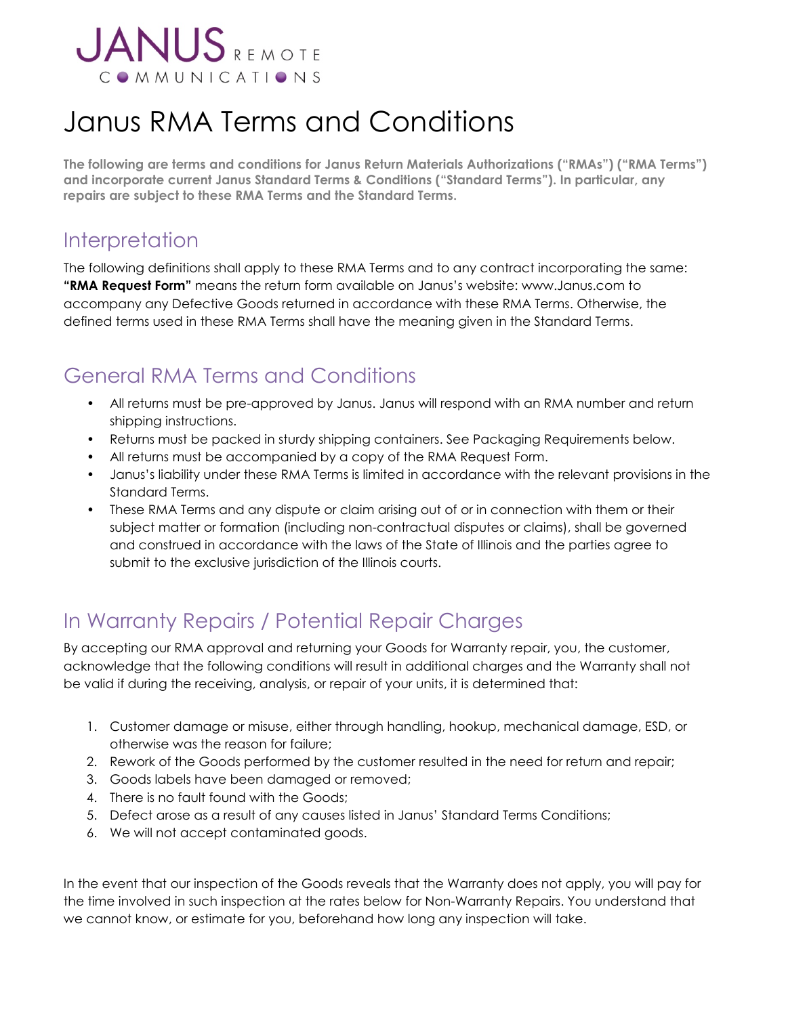

# Janus RMA Terms and Conditions

**The following are terms and conditions for Janus Return Materials Authorizations ("RMAs") ("RMA Terms") and incorporate current Janus Standard Terms & Conditions ("Standard Terms"). In particular, any repairs are subject to these RMA Terms and the Standard Terms.**

#### **Interpretation**

The following definitions shall apply to these RMA Terms and to any contract incorporating the same: **"RMA Request Form"** means the return form available on Janus's website: www.Janus.com to accompany any Defective Goods returned in accordance with these RMA Terms. Otherwise, the defined terms used in these RMA Terms shall have the meaning given in the Standard Terms.

## General RMA Terms and Conditions

- All returns must be pre-approved by Janus. Janus will respond with an RMA number and return shipping instructions.
- Returns must be packed in sturdy shipping containers. See Packaging Requirements below.
- All returns must be accompanied by a copy of the RMA Request Form.
- Janus's liability under these RMA Terms is limited in accordance with the relevant provisions in the Standard Terms.
- These RMA Terms and any dispute or claim arising out of or in connection with them or their subject matter or formation (including non-contractual disputes or claims), shall be governed and construed in accordance with the laws of the State of Illinois and the parties agree to submit to the exclusive jurisdiction of the Illinois courts.

# In Warranty Repairs / Potential Repair Charges

By accepting our RMA approval and returning your Goods for Warranty repair, you, the customer, acknowledge that the following conditions will result in additional charges and the Warranty shall not be valid if during the receiving, analysis, or repair of your units, it is determined that:

- 1. Customer damage or misuse, either through handling, hookup, mechanical damage, ESD, or otherwise was the reason for failure;
- 2. Rework of the Goods performed by the customer resulted in the need for return and repair;
- 3. Goods labels have been damaged or removed;
- 4. There is no fault found with the Goods;
- 5. Defect arose as a result of any causes listed in Janus' Standard Terms Conditions;
- 6. We will not accept contaminated goods.

In the event that our inspection of the Goods reveals that the Warranty does not apply, you will pay for the time involved in such inspection at the rates below for Non-Warranty Repairs. You understand that we cannot know, or estimate for you, beforehand how long any inspection will take.